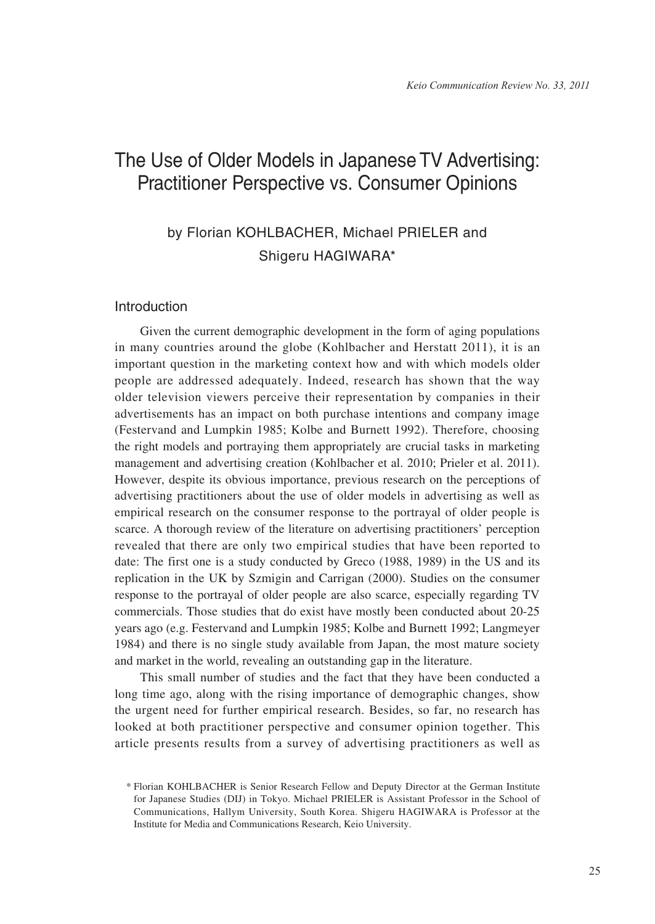# The Use of Older Models in Japanese TV Advertising: Practitioner Perspective vs. Consumer Opinions

## by Florian KOHLBACHER, Michael PRIELER and Shigeru HAGIWARA\*

## Introduction

Given the current demographic development in the form of aging populations in many countries around the globe (Kohlbacher and Herstatt 2011), it is an important question in the marketing context how and with which models older people are addressed adequately. Indeed, research has shown that the way older television viewers perceive their representation by companies in their advertisements has an impact on both purchase intentions and company image (Festervand and Lumpkin 1985; Kolbe and Burnett 1992). Therefore, choosing the right models and portraying them appropriately are crucial tasks in marketing management and advertising creation (Kohlbacher et al. 2010; Prieler et al. 2011). However, despite its obvious importance, previous research on the perceptions of advertising practitioners about the use of older models in advertising as well as empirical research on the consumer response to the portrayal of older people is scarce. A thorough review of the literature on advertising practitioners' perception revealed that there are only two empirical studies that have been reported to date: The first one is a study conducted by Greco (1988, 1989) in the US and its replication in the UK by Szmigin and Carrigan (2000). Studies on the consumer response to the portrayal of older people are also scarce, especially regarding TV commercials. Those studies that do exist have mostly been conducted about 20-25 years ago (e.g. Festervand and Lumpkin 1985; Kolbe and Burnett 1992; Langmeyer 1984) and there is no single study available from Japan, the most mature society and market in the world, revealing an outstanding gap in the literature.

This small number of studies and the fact that they have been conducted a long time ago, along with the rising importance of demographic changes, show the urgent need for further empirical research. Besides, so far, no research has looked at both practitioner perspective and consumer opinion together. This article presents results from a survey of advertising practitioners as well as

<sup>\*</sup> Florian KOHLBACHER is Senior Research Fellow and Deputy Director at the German Institute for Japanese Studies (DIJ) in Tokyo. Michael PRIELER is Assistant Professor in the School of Communications, Hallym University, South Korea. Shigeru HAGIWARA is Professor at the Institute for Media and Communications Research, Keio University.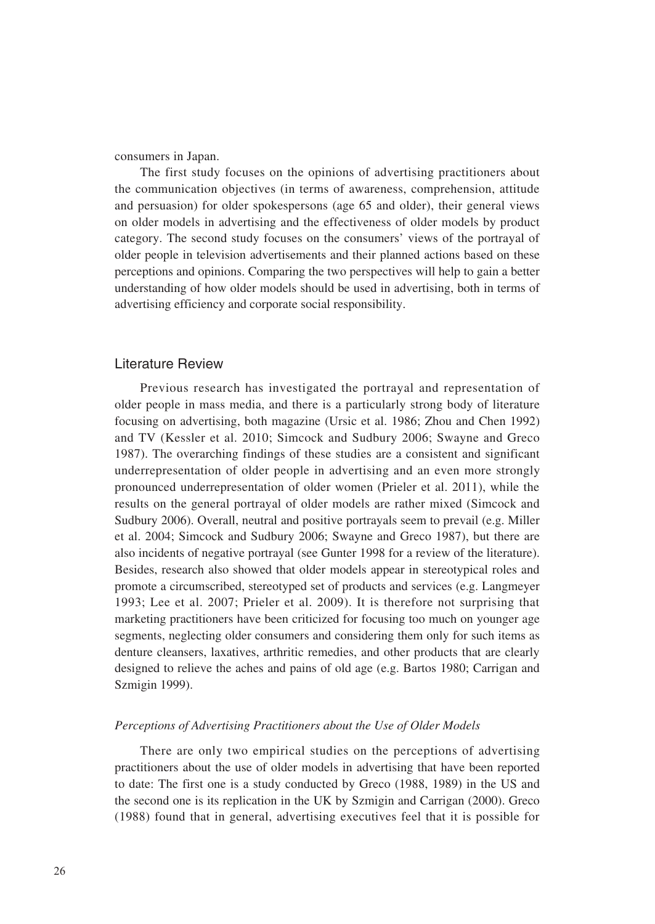consumers in Japan.

The first study focuses on the opinions of advertising practitioners about the communication objectives (in terms of awareness, comprehension, attitude and persuasion) for older spokespersons (age 65 and older), their general views on older models in advertising and the effectiveness of older models by product category. The second study focuses on the consumers' views of the portrayal of older people in television advertisements and their planned actions based on these perceptions and opinions. Comparing the two perspectives will help to gain a better understanding of how older models should be used in advertising, both in terms of advertising efficiency and corporate social responsibility.

## Literature Review

Previous research has investigated the portrayal and representation of older people in mass media, and there is a particularly strong body of literature focusing on advertising, both magazine (Ursic et al. 1986; Zhou and Chen 1992) and TV (Kessler et al. 2010; Simcock and Sudbury 2006; Swayne and Greco 1987). The overarching findings of these studies are a consistent and significant underrepresentation of older people in advertising and an even more strongly pronounced underrepresentation of older women (Prieler et al. 2011), while the results on the general portrayal of older models are rather mixed (Simcock and Sudbury 2006). Overall, neutral and positive portrayals seem to prevail (e.g. Miller et al. 2004; Simcock and Sudbury 2006; Swayne and Greco 1987), but there are also incidents of negative portrayal (see Gunter 1998 for a review of the literature). Besides, research also showed that older models appear in stereotypical roles and promote a circumscribed, stereotyped set of products and services (e.g. Langmeyer 1993; Lee et al. 2007; Prieler et al. 2009). It is therefore not surprising that marketing practitioners have been criticized for focusing too much on younger age segments, neglecting older consumers and considering them only for such items as denture cleansers, laxatives, arthritic remedies, and other products that are clearly designed to relieve the aches and pains of old age (e.g. Bartos 1980; Carrigan and Szmigin 1999).

#### *Perceptions of Advertising Practitioners about the Use of Older Models*

There are only two empirical studies on the perceptions of advertising practitioners about the use of older models in advertising that have been reported to date: The first one is a study conducted by Greco (1988, 1989) in the US and the second one is its replication in the UK by Szmigin and Carrigan (2000). Greco (1988) found that in general, advertising executives feel that it is possible for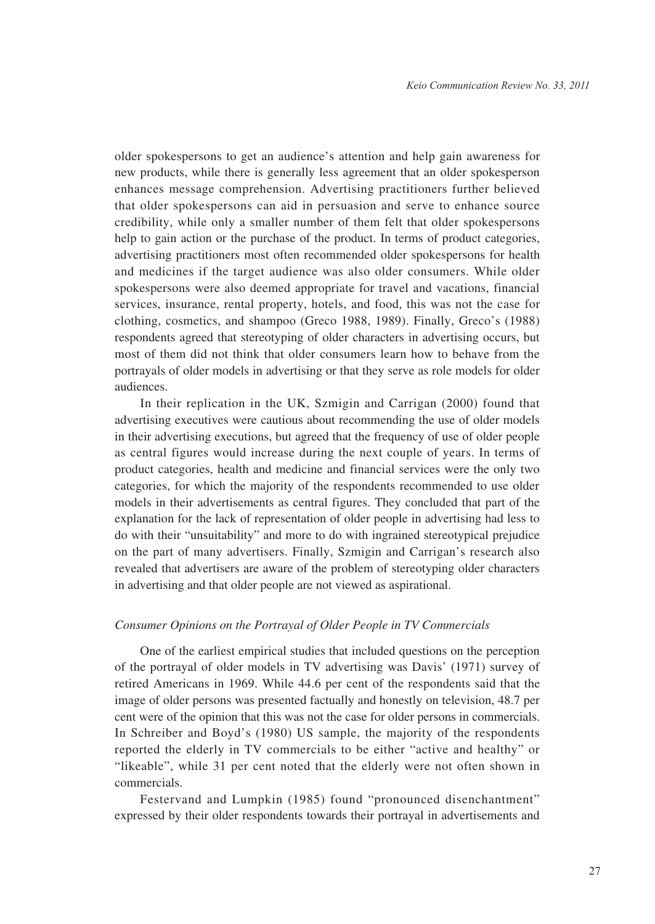older spokespersons to get an audience's attention and help gain awareness for new products, while there is generally less agreement that an older spokesperson enhances message comprehension. Advertising practitioners further believed that older spokespersons can aid in persuasion and serve to enhance source credibility, while only a smaller number of them felt that older spokespersons help to gain action or the purchase of the product. In terms of product categories, advertising practitioners most often recommended older spokespersons for health and medicines if the target audience was also older consumers. While older spokespersons were also deemed appropriate for travel and vacations, financial services, insurance, rental property, hotels, and food, this was not the case for clothing, cosmetics, and shampoo (Greco 1988, 1989). Finally, Greco's (1988) respondents agreed that stereotyping of older characters in advertising occurs, but most of them did not think that older consumers learn how to behave from the portrayals of older models in advertising or that they serve as role models for older audiences.

In their replication in the UK, Szmigin and Carrigan (2000) found that advertising executives were cautious about recommending the use of older models in their advertising executions, but agreed that the frequency of use of older people as central figures would increase during the next couple of years. In terms of product categories, health and medicine and financial services were the only two categories, for which the majority of the respondents recommended to use older models in their advertisements as central figures. They concluded that part of the explanation for the lack of representation of older people in advertising had less to do with their "unsuitability" and more to do with ingrained stereotypical prejudice on the part of many advertisers. Finally, Szmigin and Carrigan's research also revealed that advertisers are aware of the problem of stereotyping older characters in advertising and that older people are not viewed as aspirational.

#### *Consumer Opinions on the Portrayal of Older People in TV Commercials*

One of the earliest empirical studies that included questions on the perception of the portrayal of older models in TV advertising was Davis' (1971) survey of retired Americans in 1969. While 44.6 per cent of the respondents said that the image of older persons was presented factually and honestly on television, 48.7 per cent were of the opinion that this was not the case for older persons in commercials. In Schreiber and Boyd's (1980) US sample, the majority of the respondents reported the elderly in TV commercials to be either "active and healthy" or "likeable", while 31 per cent noted that the elderly were not often shown in commercials.

Festervand and Lumpkin (1985) found "pronounced disenchantment" expressed by their older respondents towards their portrayal in advertisements and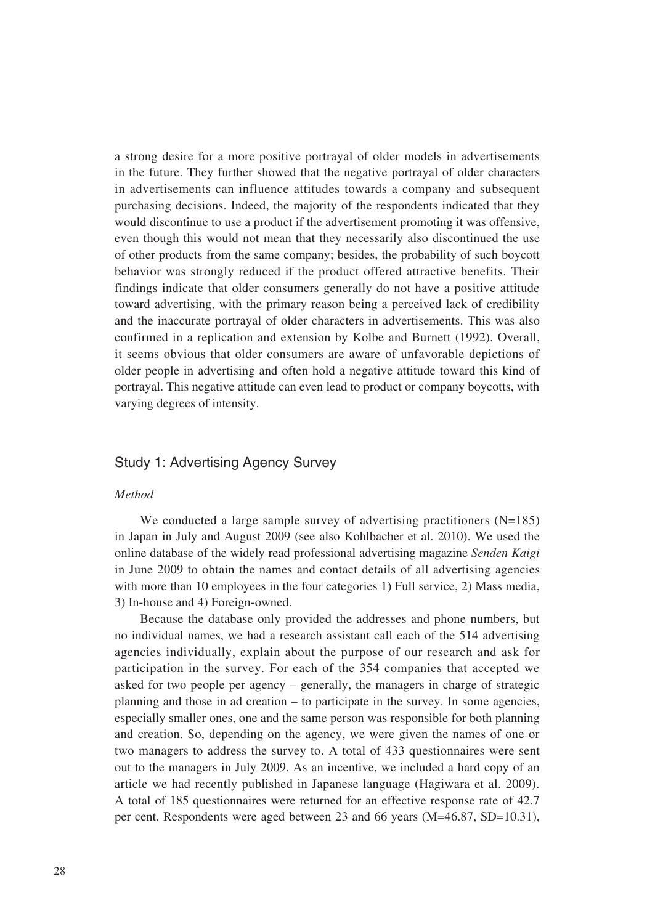a strong desire for a more positive portrayal of older models in advertisements in the future. They further showed that the negative portrayal of older characters in advertisements can influence attitudes towards a company and subsequent purchasing decisions. Indeed, the majority of the respondents indicated that they would discontinue to use a product if the advertisement promoting it was offensive, even though this would not mean that they necessarily also discontinued the use of other products from the same company; besides, the probability of such boycott behavior was strongly reduced if the product offered attractive benefits. Their findings indicate that older consumers generally do not have a positive attitude toward advertising, with the primary reason being a perceived lack of credibility and the inaccurate portrayal of older characters in advertisements. This was also confirmed in a replication and extension by Kolbe and Burnett (1992). Overall, it seems obvious that older consumers are aware of unfavorable depictions of older people in advertising and often hold a negative attitude toward this kind of portrayal. This negative attitude can even lead to product or company boycotts, with varying degrees of intensity.

## Study 1: Advertising Agency Survey

#### *Method*

We conducted a large sample survey of advertising practitioners  $(N=185)$ in Japan in July and August 2009 (see also Kohlbacher et al. 2010). We used the online database of the widely read professional advertising magazine *Senden Kaigi* in June 2009 to obtain the names and contact details of all advertising agencies with more than 10 employees in the four categories 1) Full service, 2) Mass media, 3) In-house and 4) Foreign-owned.

Because the database only provided the addresses and phone numbers, but no individual names, we had a research assistant call each of the 514 advertising agencies individually, explain about the purpose of our research and ask for participation in the survey. For each of the 354 companies that accepted we asked for two people per agency – generally, the managers in charge of strategic planning and those in ad creation – to participate in the survey. In some agencies, especially smaller ones, one and the same person was responsible for both planning and creation. So, depending on the agency, we were given the names of one or two managers to address the survey to. A total of 433 questionnaires were sent out to the managers in July 2009. As an incentive, we included a hard copy of an article we had recently published in Japanese language (Hagiwara et al. 2009). A total of 185 questionnaires were returned for an effective response rate of 42.7 per cent. Respondents were aged between 23 and 66 years (M=46.87, SD=10.31),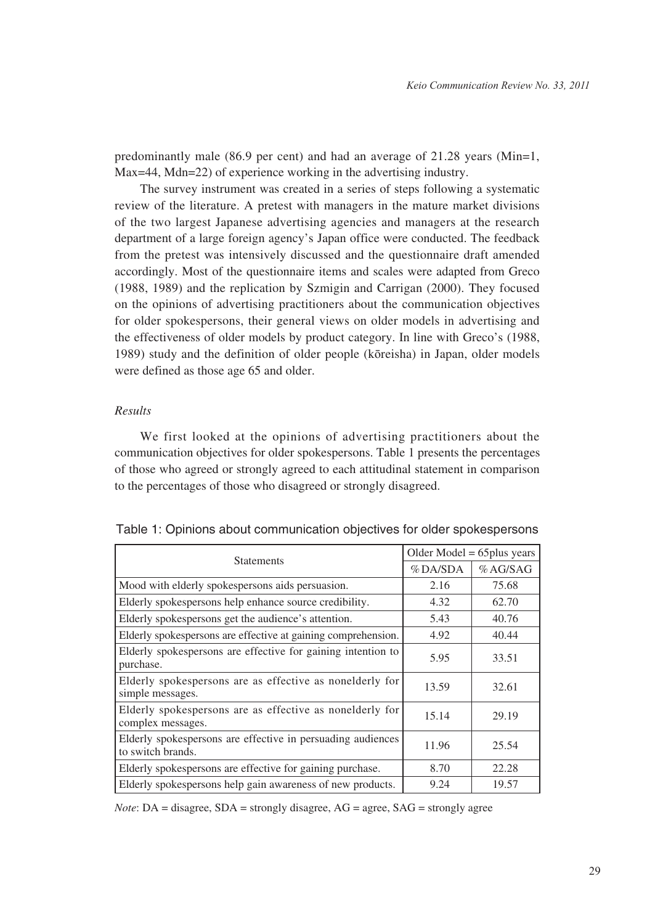predominantly male (86.9 per cent) and had an average of 21.28 years (Min=1, Max=44, Mdn=22) of experience working in the advertising industry.

The survey instrument was created in a series of steps following a systematic review of the literature. A pretest with managers in the mature market divisions of the two largest Japanese advertising agencies and managers at the research department of a large foreign agency's Japan office were conducted. The feedback from the pretest was intensively discussed and the questionnaire draft amended accordingly. Most of the questionnaire items and scales were adapted from Greco (1988, 1989) and the replication by Szmigin and Carrigan (2000). They focused on the opinions of advertising practitioners about the communication objectives for older spokespersons, their general views on older models in advertising and the effectiveness of older models by product category. In line with Greco's (1988, 1989) study and the definition of older people (kōreisha) in Japan, older models were defined as those age 65 and older.

## *Results*

We first looked at the opinions of advertising practitioners about the communication objectives for older spokespersons. Table 1 presents the percentages of those who agreed or strongly agreed to each attitudinal statement in comparison to the percentages of those who disagreed or strongly disagreed.

| <b>Statements</b>                                                                 | Older Model $= 65$ plus years |         |
|-----------------------------------------------------------------------------------|-------------------------------|---------|
|                                                                                   | %DA/SDA                       | %AG/SAG |
| Mood with elderly spokespersons aids persuasion.                                  | 2.16                          | 75.68   |
| Elderly spokespersons help enhance source credibility.                            | 4.32                          | 62.70   |
| Elderly spokes persons get the audience's attention.                              | 5.43                          | 40.76   |
| Elderly spokespersons are effective at gaining comprehension.                     | 4.92                          | 40.44   |
| Elderly spokespersons are effective for gaining intention to<br>purchase.         | 5.95                          | 33.51   |
| Elderly spokespersons are as effective as nonelderly for<br>simple messages.      | 13.59                         | 32.61   |
| Elderly spokespersons are as effective as nonelderly for<br>complex messages.     | 15.14                         | 29.19   |
| Elderly spokes persons are effective in persuading audiences<br>to switch brands. | 11.96                         | 25.54   |
| Elderly spokes persons are effective for gaining purchase.                        | 8.70                          | 22.28   |
| Elderly spokespersons help gain awareness of new products.                        | 9.24                          | 19.57   |

Table 1: Opinions about communication objectives for older spokespersons

*Note*: DA = disagree, SDA = strongly disagree, AG = agree, SAG = strongly agree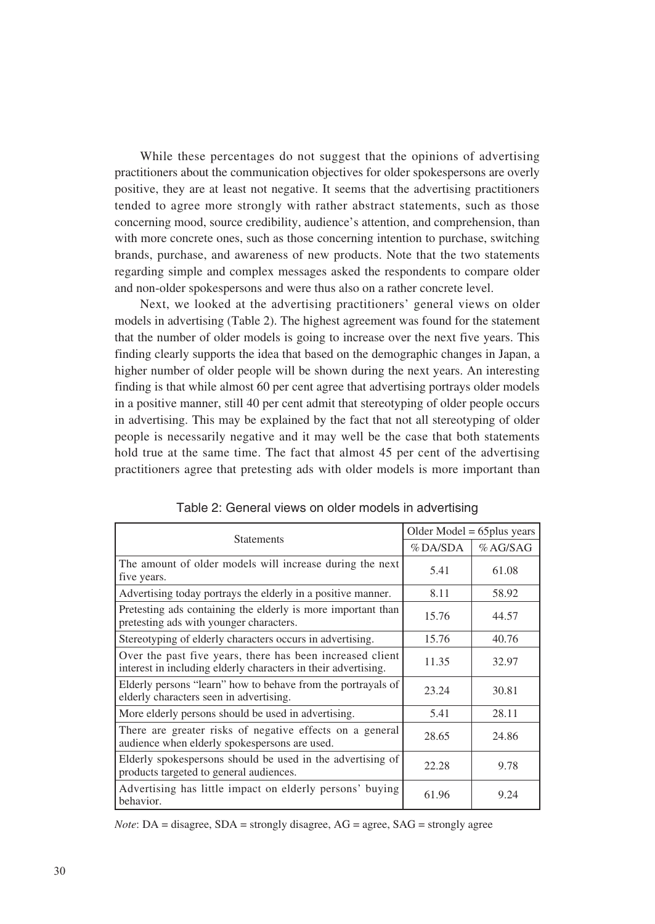While these percentages do not suggest that the opinions of advertising practitioners about the communication objectives for older spokespersons are overly positive, they are at least not negative. It seems that the advertising practitioners tended to agree more strongly with rather abstract statements, such as those concerning mood, source credibility, audience's attention, and comprehension, than with more concrete ones, such as those concerning intention to purchase, switching brands, purchase, and awareness of new products. Note that the two statements regarding simple and complex messages asked the respondents to compare older and non-older spokespersons and were thus also on a rather concrete level.

Next, we looked at the advertising practitioners' general views on older models in advertising (Table 2). The highest agreement was found for the statement that the number of older models is going to increase over the next five years. This finding clearly supports the idea that based on the demographic changes in Japan, a higher number of older people will be shown during the next years. An interesting finding is that while almost 60 per cent agree that advertising portrays older models in a positive manner, still 40 per cent admit that stereotyping of older people occurs in advertising. This may be explained by the fact that not all stereotyping of older people is necessarily negative and it may well be the case that both statements hold true at the same time. The fact that almost 45 per cent of the advertising practitioners agree that pretesting ads with older models is more important than

|                                                                                                                             | Older Model $= 65$ plus years |         |
|-----------------------------------------------------------------------------------------------------------------------------|-------------------------------|---------|
| <b>Statements</b>                                                                                                           | %DA/SDA                       | %AG/SAG |
| The amount of older models will increase during the next<br>five years.                                                     | 5.41                          | 61.08   |
| Advertising today portrays the elderly in a positive manner.                                                                | 8.11                          | 58.92   |
| Pretesting ads containing the elderly is more important than<br>pretesting ads with younger characters.                     | 15.76                         | 44.57   |
| Stereotyping of elderly characters occurs in advertising.                                                                   | 15.76                         | 40.76   |
| Over the past five years, there has been increased client<br>interest in including elderly characters in their advertising. | 11.35                         | 32.97   |
| Elderly persons "learn" how to behave from the portrayals of<br>elderly characters seen in advertising.                     | 23.24                         | 30.81   |
| More elderly persons should be used in advertising.                                                                         | 5.41                          | 28.11   |
| There are greater risks of negative effects on a general<br>audience when elderly spokespersons are used.                   | 28.65                         | 24.86   |
| Elderly spokespersons should be used in the advertising of<br>products targeted to general audiences.                       | 22.28                         | 9.78    |
| Advertising has little impact on elderly persons' buying<br>behavior.                                                       | 61.96                         | 9.24    |

*Note*: DA = disagree, SDA = strongly disagree, AG = agree, SAG = strongly agree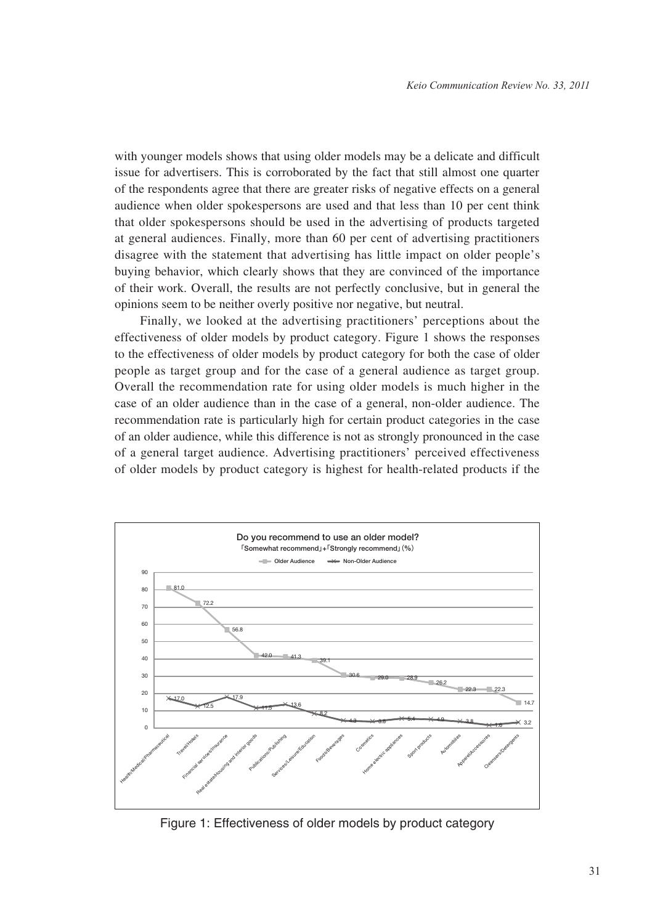with younger models shows that using older models may be a delicate and difficult issue for advertisers. This is corroborated by the fact that still almost one quarter of the respondents agree that there are greater risks of negative effects on a general audience when older spokespersons are used and that less than 10 per cent think that older spokespersons should be used in the advertising of products targeted at general audiences. Finally, more than 60 per cent of advertising practitioners disagree with the statement that advertising has little impact on older people's buying behavior, which clearly shows that they are convinced of the importance of their work. Overall, the results are not perfectly conclusive, but in general the opinions seem to be neither overly positive nor negative, but neutral.

Finally, we looked at the advertising practitioners' perceptions about the effectiveness of older models by product category. Figure 1 shows the responses to the effectiveness of older models by product category for both the case of older people as target group and for the case of a general audience as target group. Overall the recommendation rate for using older models is much higher in the case of an older audience than in the case of a general, non-older audience. The recommendation rate is particularly high for certain product categories in the case of an older audience, while this difference is not as strongly pronounced in the case of a general target audience. Advertising practitioners' perceived effectiveness of older models by product category is highest for health-related products if the



Figure 1: Effectiveness of older models by product category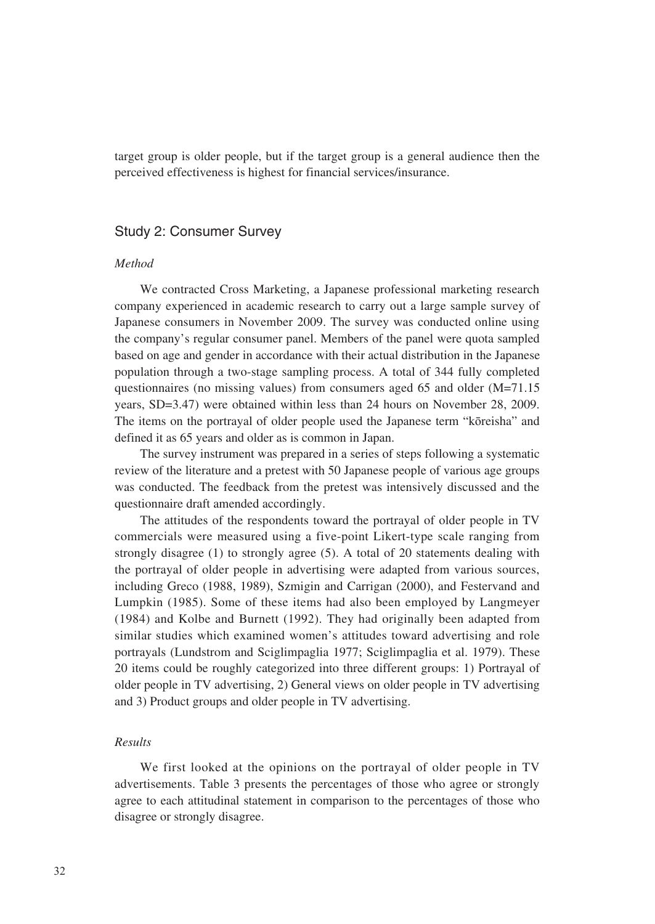target group is older people, but if the target group is a general audience then the perceived effectiveness is highest for financial services/insurance.

### Study 2: Consumer Survey

#### *Method*

We contracted Cross Marketing, a Japanese professional marketing research company experienced in academic research to carry out a large sample survey of Japanese consumers in November 2009. The survey was conducted online using the company's regular consumer panel. Members of the panel were quota sampled based on age and gender in accordance with their actual distribution in the Japanese population through a two-stage sampling process. A total of 344 fully completed questionnaires (no missing values) from consumers aged 65 and older (M=71.15 years, SD=3.47) were obtained within less than 24 hours on November 28, 2009. The items on the portrayal of older people used the Japanese term "kōreisha" and defined it as 65 years and older as is common in Japan.

The survey instrument was prepared in a series of steps following a systematic review of the literature and a pretest with 50 Japanese people of various age groups was conducted. The feedback from the pretest was intensively discussed and the questionnaire draft amended accordingly.

The attitudes of the respondents toward the portrayal of older people in TV commercials were measured using a five-point Likert-type scale ranging from strongly disagree (1) to strongly agree (5). A total of 20 statements dealing with the portrayal of older people in advertising were adapted from various sources, including Greco (1988, 1989), Szmigin and Carrigan (2000), and Festervand and Lumpkin (1985). Some of these items had also been employed by Langmeyer (1984) and Kolbe and Burnett (1992). They had originally been adapted from similar studies which examined women's attitudes toward advertising and role portrayals (Lundstrom and Sciglimpaglia 1977; Sciglimpaglia et al. 1979). These 20 items could be roughly categorized into three different groups: 1) Portrayal of older people in TV advertising, 2) General views on older people in TV advertising and 3) Product groups and older people in TV advertising.

#### *Results*

We first looked at the opinions on the portrayal of older people in TV advertisements. Table 3 presents the percentages of those who agree or strongly agree to each attitudinal statement in comparison to the percentages of those who disagree or strongly disagree.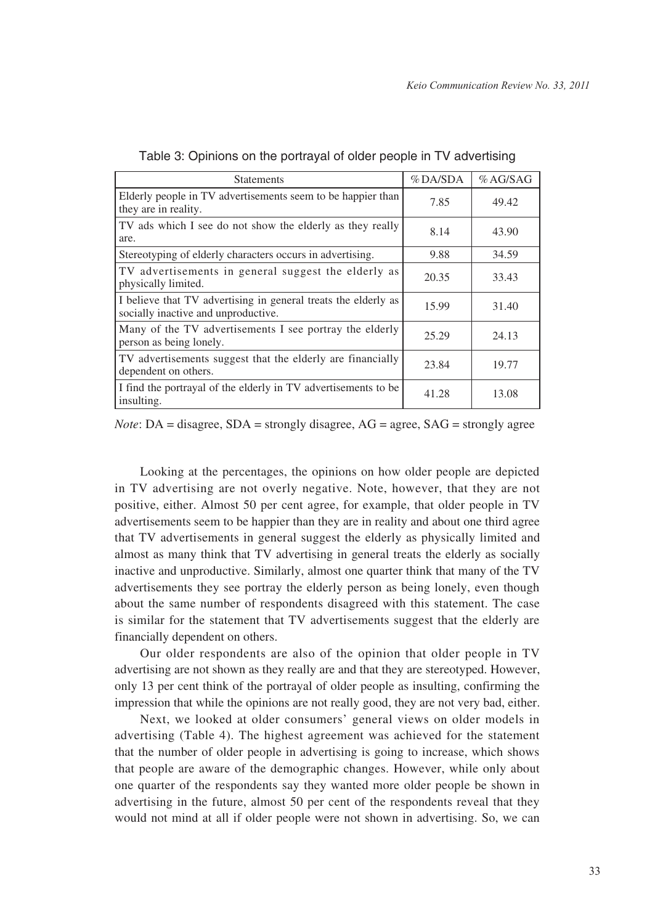| <b>Statements</b>                                                                                     | $%$ DA/SDA | %AG/SAG |
|-------------------------------------------------------------------------------------------------------|------------|---------|
| Elderly people in TV advertisements seem to be happier than<br>they are in reality.                   | 7.85       | 49.42   |
| TV ads which I see do not show the elderly as they really<br>are.                                     | 8.14       | 43.90   |
| Stereotyping of elderly characters occurs in advertising.                                             | 9.88       | 34.59   |
| TV advertisements in general suggest the elderly as<br>physically limited.                            | 20.35      | 33.43   |
| I believe that TV advertising in general treats the elderly as<br>socially inactive and unproductive. | 15.99      | 31.40   |
| Many of the TV advertisements I see portray the elderly<br>person as being lonely.                    | 25.29      | 24.13   |
| TV advertisements suggest that the elderly are financially<br>dependent on others.                    | 23.84      | 19.77   |
| I find the portrayal of the elderly in TV advertisements to be<br>insulting.                          | 41.28      | 13.08   |

|  |  |  |  | Table 3: Opinions on the portrayal of older people in TV advertising |
|--|--|--|--|----------------------------------------------------------------------|
|--|--|--|--|----------------------------------------------------------------------|

*Note*:  $DA = \text{disagree}$ ,  $SDA = \text{strongly disagree}$ ,  $AG = \text{agree}$ ,  $SAG = \text{strongly agree}$ 

Looking at the percentages, the opinions on how older people are depicted in TV advertising are not overly negative. Note, however, that they are not positive, either. Almost 50 per cent agree, for example, that older people in TV advertisements seem to be happier than they are in reality and about one third agree that TV advertisements in general suggest the elderly as physically limited and almost as many think that TV advertising in general treats the elderly as socially inactive and unproductive. Similarly, almost one quarter think that many of the TV advertisements they see portray the elderly person as being lonely, even though about the same number of respondents disagreed with this statement. The case is similar for the statement that TV advertisements suggest that the elderly are financially dependent on others.

Our older respondents are also of the opinion that older people in TV advertising are not shown as they really are and that they are stereotyped. However, only 13 per cent think of the portrayal of older people as insulting, confirming the impression that while the opinions are not really good, they are not very bad, either.

Next, we looked at older consumers' general views on older models in advertising (Table 4). The highest agreement was achieved for the statement that the number of older people in advertising is going to increase, which shows that people are aware of the demographic changes. However, while only about one quarter of the respondents say they wanted more older people be shown in advertising in the future, almost 50 per cent of the respondents reveal that they would not mind at all if older people were not shown in advertising. So, we can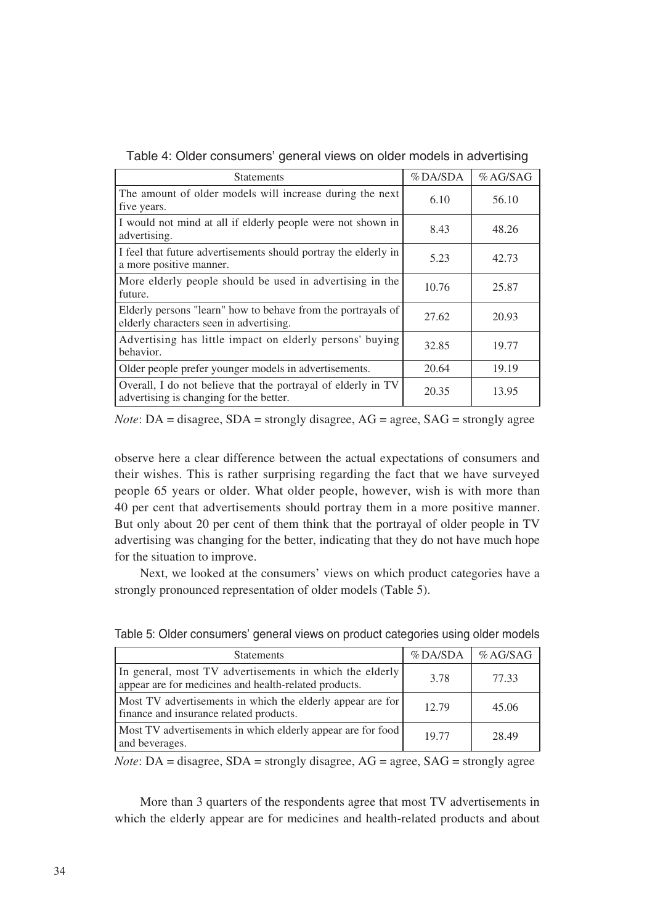| <b>Statements</b>                                                                                        | %DA/SDA | %AG/SAG |
|----------------------------------------------------------------------------------------------------------|---------|---------|
| The amount of older models will increase during the next<br>five years.                                  | 6.10    | 56.10   |
| I would not mind at all if elderly people were not shown in<br>advertising.                              | 8.43    | 48.26   |
| I feel that future advertisements should portray the elderly in<br>a more positive manner.               | 5.23    | 42.73   |
| More elderly people should be used in advertising in the<br>future.                                      | 10.76   | 25.87   |
| Elderly persons "learn" how to behave from the portrayals of<br>elderly characters seen in advertising.  | 27.62   | 20.93   |
| Advertising has little impact on elderly persons' buying<br>behavior.                                    | 32.85   | 19.77   |
| Older people prefer younger models in advertisements.                                                    | 20.64   | 19.19   |
| Overall, I do not believe that the portrayal of elderly in TV<br>advertising is changing for the better. | 20.35   | 13.95   |

Table 4: Older consumers' general views on older models in advertising

*Note*: DA = disagree, SDA = strongly disagree, AG = agree, SAG = strongly agree

observe here a clear difference between the actual expectations of consumers and their wishes. This is rather surprising regarding the fact that we have surveyed people 65 years or older. What older people, however, wish is with more than 40 per cent that advertisements should portray them in a more positive manner. But only about 20 per cent of them think that the portrayal of older people in TV advertising was changing for the better, indicating that they do not have much hope for the situation to improve.

Next, we looked at the consumers' views on which product categories have a strongly pronounced representation of older models (Table 5).

| <b>Statements</b>                                                                                                | %DA/SDA | %AG/SAG |
|------------------------------------------------------------------------------------------------------------------|---------|---------|
| In general, most TV advertisements in which the elderly<br>appear are for medicines and health-related products. | 3.78    | 77.33   |
| Most TV advertisements in which the elderly appear are for<br>finance and insurance related products.            | 12.79   | 45.06   |
| Most TV advertisements in which elderly appear are for food<br>and beverages.                                    | 19.77   | 28.49   |

Table 5: Older consumers' general views on product categories using older models

*Note*: DA = disagree, SDA = strongly disagree, AG = agree, SAG = strongly agree

More than 3 quarters of the respondents agree that most TV advertisements in which the elderly appear are for medicines and health-related products and about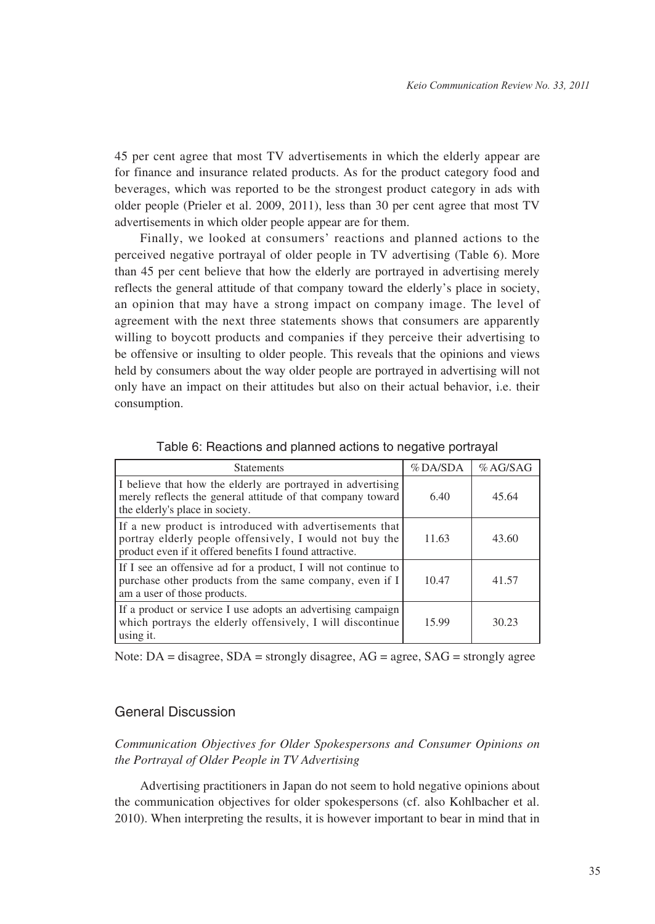45 per cent agree that most TV advertisements in which the elderly appear are for finance and insurance related products. As for the product category food and beverages, which was reported to be the strongest product category in ads with older people (Prieler et al. 2009, 2011), less than 30 per cent agree that most TV advertisements in which older people appear are for them.

Finally, we looked at consumers' reactions and planned actions to the perceived negative portrayal of older people in TV advertising (Table 6). More than 45 per cent believe that how the elderly are portrayed in advertising merely reflects the general attitude of that company toward the elderly's place in society, an opinion that may have a strong impact on company image. The level of agreement with the next three statements shows that consumers are apparently willing to boycott products and companies if they perceive their advertising to be offensive or insulting to older people. This reveals that the opinions and views held by consumers about the way older people are portrayed in advertising will not only have an impact on their attitudes but also on their actual behavior, i.e. their consumption.

| <b>Statements</b>                                                                                                                                                             | $%$ DA/SDA | %AG/SAG |
|-------------------------------------------------------------------------------------------------------------------------------------------------------------------------------|------------|---------|
| I believe that how the elderly are portrayed in advertising<br>merely reflects the general attitude of that company toward<br>the elderly's place in society.                 | 6.40       | 45.64   |
| If a new product is introduced with advertisements that<br>portray elderly people offensively, I would not buy the<br>product even if it offered benefits I found attractive. | 11.63      | 43.60   |
| If I see an offensive ad for a product, I will not continue to<br>purchase other products from the same company, even if I<br>am a user of those products.                    | 10.47      | 41.57   |
| If a product or service I use adopts an advertising campaign<br>which portrays the elderly offensively, I will discontinue<br>using it.                                       | 15.99      | 30.23   |

Table 6: Reactions and planned actions to negative portrayal

Note:  $DA =$  disagree,  $SDA =$  strongly disagree,  $AG =$  agree,  $SAG =$  strongly agree

## General Discussion

*Communication Objectives for Older Spokespersons and Consumer Opinions on the Portrayal of Older People in TV Advertising*

Advertising practitioners in Japan do not seem to hold negative opinions about the communication objectives for older spokespersons (cf. also Kohlbacher et al. 2010). When interpreting the results, it is however important to bear in mind that in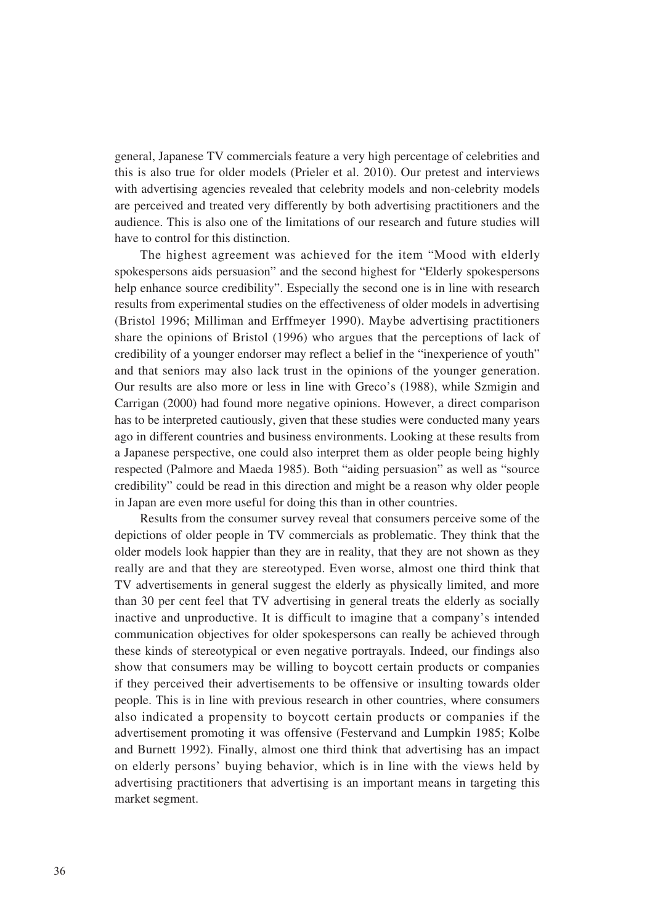general, Japanese TV commercials feature a very high percentage of celebrities and this is also true for older models (Prieler et al. 2010). Our pretest and interviews with advertising agencies revealed that celebrity models and non-celebrity models are perceived and treated very differently by both advertising practitioners and the audience. This is also one of the limitations of our research and future studies will have to control for this distinction.

The highest agreement was achieved for the item "Mood with elderly spokespersons aids persuasion" and the second highest for "Elderly spokespersons help enhance source credibility". Especially the second one is in line with research results from experimental studies on the effectiveness of older models in advertising (Bristol 1996; Milliman and Erffmeyer 1990). Maybe advertising practitioners share the opinions of Bristol (1996) who argues that the perceptions of lack of credibility of a younger endorser may reflect a belief in the "inexperience of youth" and that seniors may also lack trust in the opinions of the younger generation. Our results are also more or less in line with Greco's (1988), while Szmigin and Carrigan (2000) had found more negative opinions. However, a direct comparison has to be interpreted cautiously, given that these studies were conducted many years ago in different countries and business environments. Looking at these results from a Japanese perspective, one could also interpret them as older people being highly respected (Palmore and Maeda 1985). Both "aiding persuasion" as well as "source credibility" could be read in this direction and might be a reason why older people in Japan are even more useful for doing this than in other countries.

Results from the consumer survey reveal that consumers perceive some of the depictions of older people in TV commercials as problematic. They think that the older models look happier than they are in reality, that they are not shown as they really are and that they are stereotyped. Even worse, almost one third think that TV advertisements in general suggest the elderly as physically limited, and more than 30 per cent feel that TV advertising in general treats the elderly as socially inactive and unproductive. It is difficult to imagine that a company's intended communication objectives for older spokespersons can really be achieved through these kinds of stereotypical or even negative portrayals. Indeed, our findings also show that consumers may be willing to boycott certain products or companies if they perceived their advertisements to be offensive or insulting towards older people. This is in line with previous research in other countries, where consumers also indicated a propensity to boycott certain products or companies if the advertisement promoting it was offensive (Festervand and Lumpkin 1985; Kolbe and Burnett 1992). Finally, almost one third think that advertising has an impact on elderly persons' buying behavior, which is in line with the views held by advertising practitioners that advertising is an important means in targeting this market segment.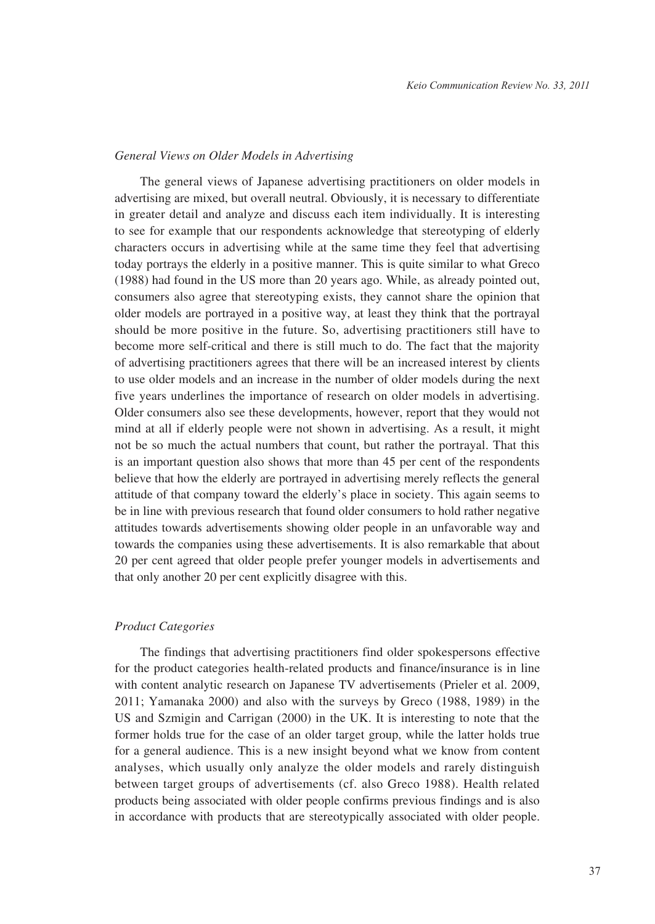#### *General Views on Older Models in Advertising*

The general views of Japanese advertising practitioners on older models in advertising are mixed, but overall neutral. Obviously, it is necessary to differentiate in greater detail and analyze and discuss each item individually. It is interesting to see for example that our respondents acknowledge that stereotyping of elderly characters occurs in advertising while at the same time they feel that advertising today portrays the elderly in a positive manner. This is quite similar to what Greco (1988) had found in the US more than 20 years ago. While, as already pointed out, consumers also agree that stereotyping exists, they cannot share the opinion that older models are portrayed in a positive way, at least they think that the portrayal should be more positive in the future. So, advertising practitioners still have to become more self-critical and there is still much to do. The fact that the majority of advertising practitioners agrees that there will be an increased interest by clients to use older models and an increase in the number of older models during the next five years underlines the importance of research on older models in advertising. Older consumers also see these developments, however, report that they would not mind at all if elderly people were not shown in advertising. As a result, it might not be so much the actual numbers that count, but rather the portrayal. That this is an important question also shows that more than 45 per cent of the respondents believe that how the elderly are portrayed in advertising merely reflects the general attitude of that company toward the elderly's place in society. This again seems to be in line with previous research that found older consumers to hold rather negative attitudes towards advertisements showing older people in an unfavorable way and towards the companies using these advertisements. It is also remarkable that about 20 per cent agreed that older people prefer younger models in advertisements and that only another 20 per cent explicitly disagree with this.

## *Product Categories*

The findings that advertising practitioners find older spokespersons effective for the product categories health-related products and finance/insurance is in line with content analytic research on Japanese TV advertisements (Prieler et al. 2009, 2011; Yamanaka 2000) and also with the surveys by Greco (1988, 1989) in the US and Szmigin and Carrigan (2000) in the UK. It is interesting to note that the former holds true for the case of an older target group, while the latter holds true for a general audience. This is a new insight beyond what we know from content analyses, which usually only analyze the older models and rarely distinguish between target groups of advertisements (cf. also Greco 1988). Health related products being associated with older people confirms previous findings and is also in accordance with products that are stereotypically associated with older people.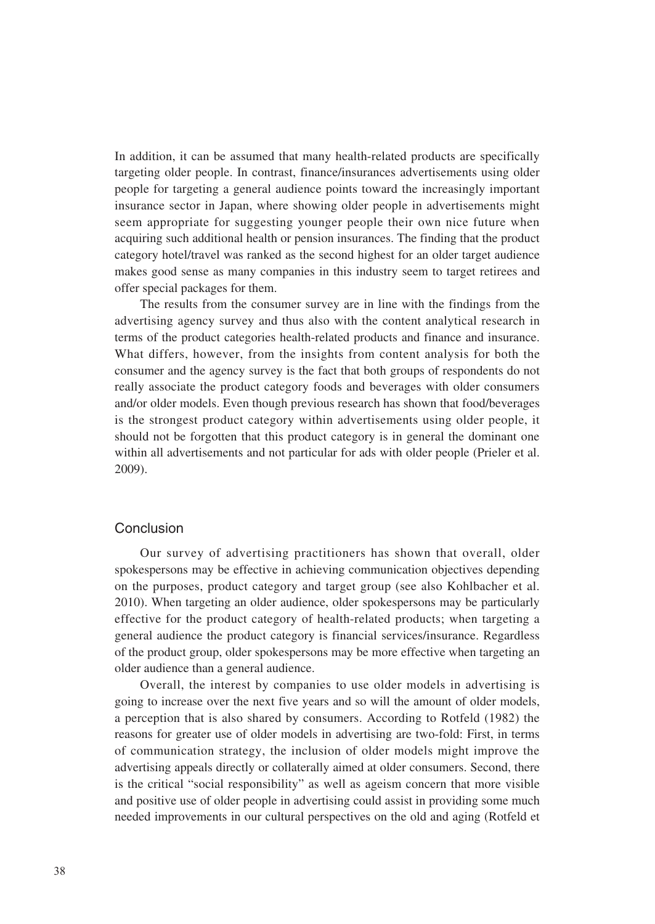In addition, it can be assumed that many health-related products are specifically targeting older people. In contrast, finance/insurances advertisements using older people for targeting a general audience points toward the increasingly important insurance sector in Japan, where showing older people in advertisements might seem appropriate for suggesting younger people their own nice future when acquiring such additional health or pension insurances. The finding that the product category hotel/travel was ranked as the second highest for an older target audience makes good sense as many companies in this industry seem to target retirees and offer special packages for them.

The results from the consumer survey are in line with the findings from the advertising agency survey and thus also with the content analytical research in terms of the product categories health-related products and finance and insurance. What differs, however, from the insights from content analysis for both the consumer and the agency survey is the fact that both groups of respondents do not really associate the product category foods and beverages with older consumers and/or older models. Even though previous research has shown that food/beverages is the strongest product category within advertisements using older people, it should not be forgotten that this product category is in general the dominant one within all advertisements and not particular for ads with older people (Prieler et al. 2009).

## Conclusion

Our survey of advertising practitioners has shown that overall, older spokespersons may be effective in achieving communication objectives depending on the purposes, product category and target group (see also Kohlbacher et al. 2010). When targeting an older audience, older spokespersons may be particularly effective for the product category of health-related products; when targeting a general audience the product category is financial services/insurance. Regardless of the product group, older spokespersons may be more effective when targeting an older audience than a general audience.

Overall, the interest by companies to use older models in advertising is going to increase over the next five years and so will the amount of older models, a perception that is also shared by consumers. According to Rotfeld (1982) the reasons for greater use of older models in advertising are two-fold: First, in terms of communication strategy, the inclusion of older models might improve the advertising appeals directly or collaterally aimed at older consumers. Second, there is the critical "social responsibility" as well as ageism concern that more visible and positive use of older people in advertising could assist in providing some much needed improvements in our cultural perspectives on the old and aging (Rotfeld et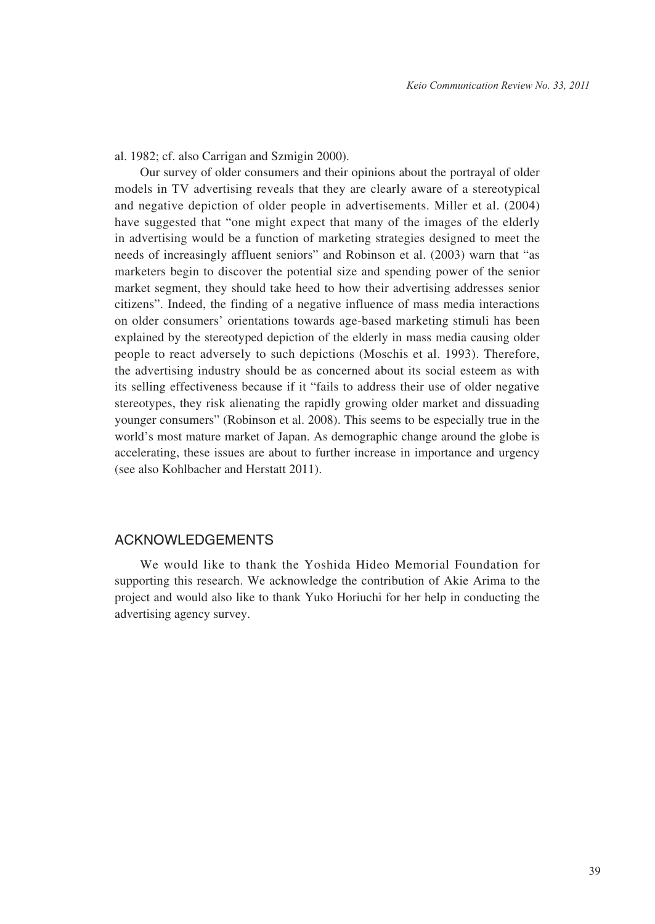al. 1982; cf. also Carrigan and Szmigin 2000).

Our survey of older consumers and their opinions about the portrayal of older models in TV advertising reveals that they are clearly aware of a stereotypical and negative depiction of older people in advertisements. Miller et al. (2004) have suggested that "one might expect that many of the images of the elderly in advertising would be a function of marketing strategies designed to meet the needs of increasingly affluent seniors" and Robinson et al. (2003) warn that "as marketers begin to discover the potential size and spending power of the senior market segment, they should take heed to how their advertising addresses senior citizens". Indeed, the finding of a negative influence of mass media interactions on older consumers' orientations towards age-based marketing stimuli has been explained by the stereotyped depiction of the elderly in mass media causing older people to react adversely to such depictions (Moschis et al. 1993). Therefore, the advertising industry should be as concerned about its social esteem as with its selling effectiveness because if it "fails to address their use of older negative stereotypes, they risk alienating the rapidly growing older market and dissuading younger consumers" (Robinson et al. 2008). This seems to be especially true in the world's most mature market of Japan. As demographic change around the globe is accelerating, these issues are about to further increase in importance and urgency (see also Kohlbacher and Herstatt 2011).

### ACKNOWLEDGEMENTS

We would like to thank the Yoshida Hideo Memorial Foundation for supporting this research. We acknowledge the contribution of Akie Arima to the project and would also like to thank Yuko Horiuchi for her help in conducting the advertising agency survey.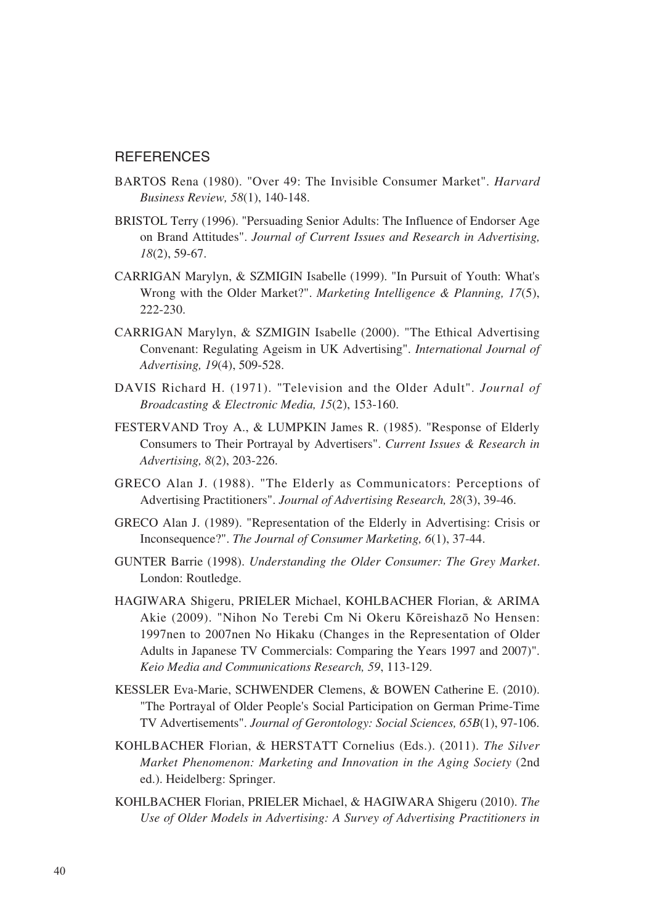#### **REFERENCES**

- BARTOS Rena (1980). "Over 49: The Invisible Consumer Market". *Harvard Business Review, 58*(1), 140-148.
- BRISTOL Terry (1996). "Persuading Senior Adults: The Influence of Endorser Age on Brand Attitudes". *Journal of Current Issues and Research in Advertising, 18*(2), 59-67.
- CARRIGAN Marylyn, & SZMIGIN Isabelle (1999). "In Pursuit of Youth: What's Wrong with the Older Market?". *Marketing Intelligence & Planning, 17*(5), 222-230.
- CARRIGAN Marylyn, & SZMIGIN Isabelle (2000). "The Ethical Advertising Convenant: Regulating Ageism in UK Advertising". *International Journal of Advertising, 19*(4), 509-528.
- DAVIS Richard H. (1971). "Television and the Older Adult". *Journal of Broadcasting & Electronic Media, 15*(2), 153-160.
- FESTERVAND Troy A., & LUMPKIN James R. (1985). "Response of Elderly Consumers to Their Portrayal by Advertisers". *Current Issues & Research in Advertising, 8*(2), 203-226.
- GRECO Alan J. (1988). "The Elderly as Communicators: Perceptions of Advertising Practitioners". *Journal of Advertising Research, 28*(3), 39-46.
- GRECO Alan J. (1989). "Representation of the Elderly in Advertising: Crisis or Inconsequence?". *The Journal of Consumer Marketing, 6*(1), 37-44.
- GUNTER Barrie (1998). *Understanding the Older Consumer: The Grey Market*. London: Routledge.
- HAGIWARA Shigeru, PRIELER Michael, KOHLBACHER Florian, & ARIMA Akie (2009). "Nihon No Terebi Cm Ni Okeru Kōreishazō No Hensen: 1997nen to 2007nen No Hikaku (Changes in the Representation of Older Adults in Japanese TV Commercials: Comparing the Years 1997 and 2007)". *Keio Media and Communications Research, 59*, 113-129.
- KESSLER Eva-Marie, SCHWENDER Clemens, & BOWEN Catherine E. (2010). "The Portrayal of Older People's Social Participation on German Prime-Time TV Advertisements". *Journal of Gerontology: Social Sciences, 65B*(1), 97-106.
- KOHLBACHER Florian, & HERSTATT Cornelius (Eds.). (2011). *The Silver Market Phenomenon: Marketing and Innovation in the Aging Society* (2nd ed.). Heidelberg: Springer.
- KOHLBACHER Florian, PRIELER Michael, & HAGIWARA Shigeru (2010). *The Use of Older Models in Advertising: A Survey of Advertising Practitioners in*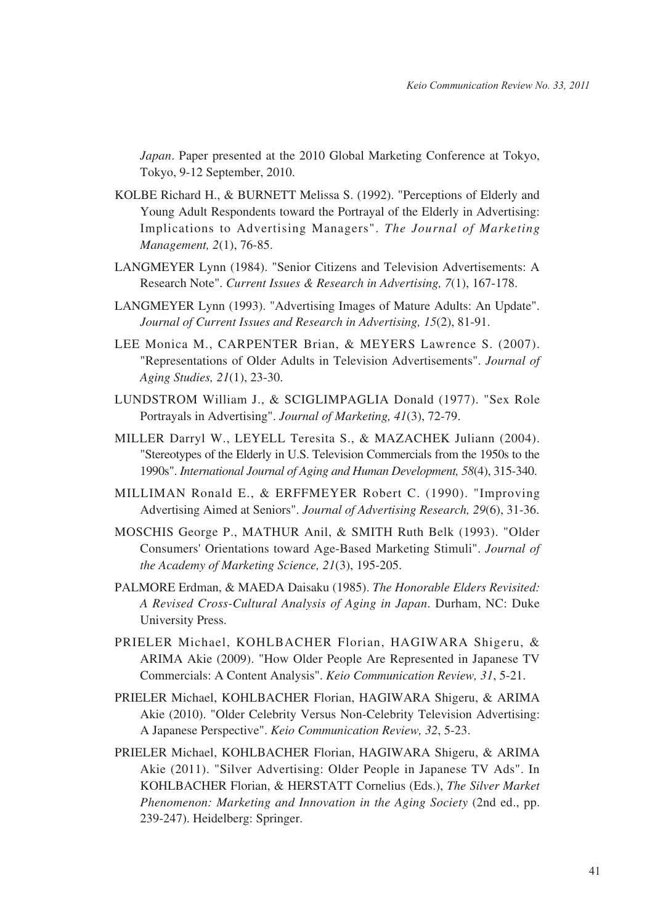*Japan*. Paper presented at the 2010 Global Marketing Conference at Tokyo, Tokyo, 9-12 September, 2010.

- KOLBE Richard H., & BURNETT Melissa S. (1992). "Perceptions of Elderly and Young Adult Respondents toward the Portrayal of the Elderly in Advertising: Implications to Advertising Managers". *The Journal of Marketing Management, 2*(1), 76-85.
- LANGMEYER Lynn (1984). "Senior Citizens and Television Advertisements: A Research Note". *Current Issues & Research in Advertising, 7*(1), 167-178.
- LANGMEYER Lynn (1993). "Advertising Images of Mature Adults: An Update". *Journal of Current Issues and Research in Advertising, 15*(2), 81-91.
- LEE Monica M., CARPENTER Brian, & MEYERS Lawrence S. (2007). "Representations of Older Adults in Television Advertisements". *Journal of Aging Studies, 21*(1), 23-30.
- LUNDSTROM William J., & SCIGLIMPAGLIA Donald (1977). "Sex Role Portrayals in Advertising". *Journal of Marketing, 41*(3), 72-79.
- MILLER Darryl W., LEYELL Teresita S., & MAZACHEK Juliann (2004). "Stereotypes of the Elderly in U.S. Television Commercials from the 1950s to the 1990s". *International Journal of Aging and Human Development, 58*(4), 315-340.
- MILLIMAN Ronald E., & ERFFMEYER Robert C. (1990). "Improving Advertising Aimed at Seniors". *Journal of Advertising Research, 29*(6), 31-36.
- MOSCHIS George P., MATHUR Anil, & SMITH Ruth Belk (1993). "Older Consumers' Orientations toward Age-Based Marketing Stimuli". *Journal of the Academy of Marketing Science, 21*(3), 195-205.
- PALMORE Erdman, & MAEDA Daisaku (1985). *The Honorable Elders Revisited: A Revised Cross-Cultural Analysis of Aging in Japan*. Durham, NC: Duke University Press.
- PRIELER Michael, KOHLBACHER Florian, HAGIWARA Shigeru, & ARIMA Akie (2009). "How Older People Are Represented in Japanese TV Commercials: A Content Analysis". *Keio Communication Review, 31*, 5-21.
- PRIELER Michael, KOHLBACHER Florian, HAGIWARA Shigeru, & ARIMA Akie (2010). "Older Celebrity Versus Non-Celebrity Television Advertising: A Japanese Perspective". *Keio Communication Review, 32*, 5-23.
- PRIELER Michael, KOHLBACHER Florian, HAGIWARA Shigeru, & ARIMA Akie (2011). "Silver Advertising: Older People in Japanese TV Ads". In KOHLBACHER Florian, & HERSTATT Cornelius (Eds.), *The Silver Market Phenomenon: Marketing and Innovation in the Aging Society* (2nd ed., pp. 239-247). Heidelberg: Springer.